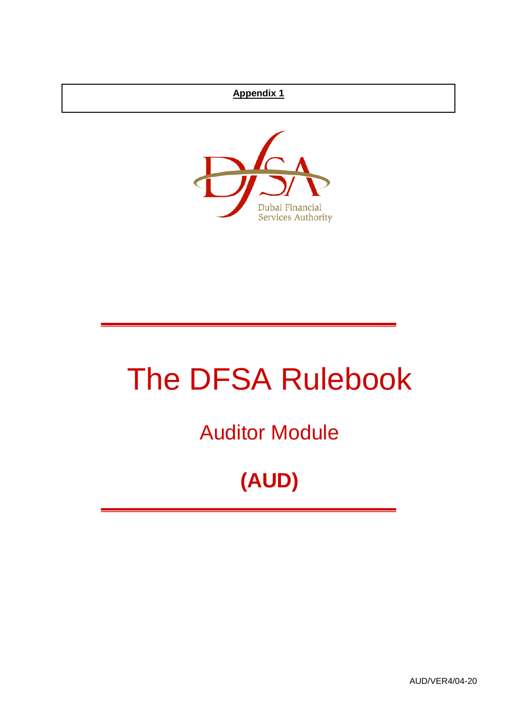## **Appendix 1**



# The DFSA Rulebook

Auditor Module

## **(AUD)**

AUD/VER4/04-20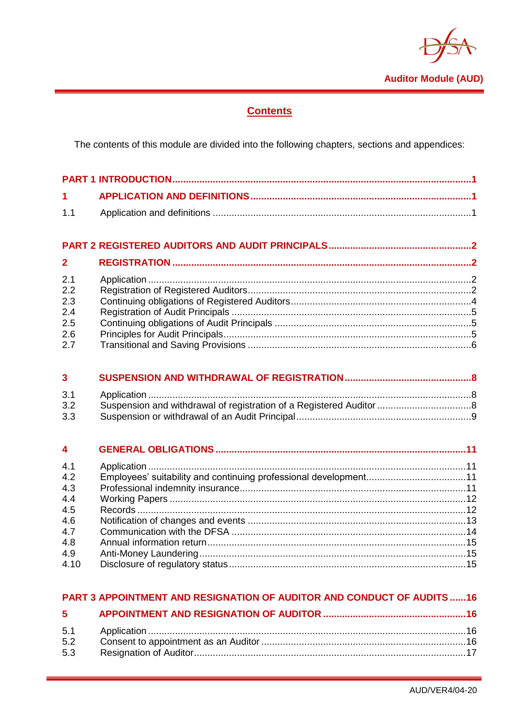

## **Contents**

The contents of this module are divided into the following chapters, sections and appendices:

| $\overline{\mathbf{2}}$ |  |
|-------------------------|--|
| 2.1                     |  |
| 2.2                     |  |
| 2.3                     |  |
| 2.4                     |  |
| 2.5                     |  |
| 2.6                     |  |
| 2.7                     |  |

| 3 <sup>7</sup> |  |  |
|----------------|--|--|
| 3.1            |  |  |
| 3.2            |  |  |
| 3.3            |  |  |

| 4.1  |  |
|------|--|
| 4.2  |  |
| 4.3  |  |
| 4.4  |  |
| 4.5  |  |
| 4.6  |  |
| 4.7  |  |
| 4.8  |  |
| 4.9  |  |
| 4.10 |  |
|      |  |

#### PART 3 APPOINTMENT AND RESIGNATION OF AUDITOR AND CONDUCT OF AUDITS ......16

| 5.3 |  |
|-----|--|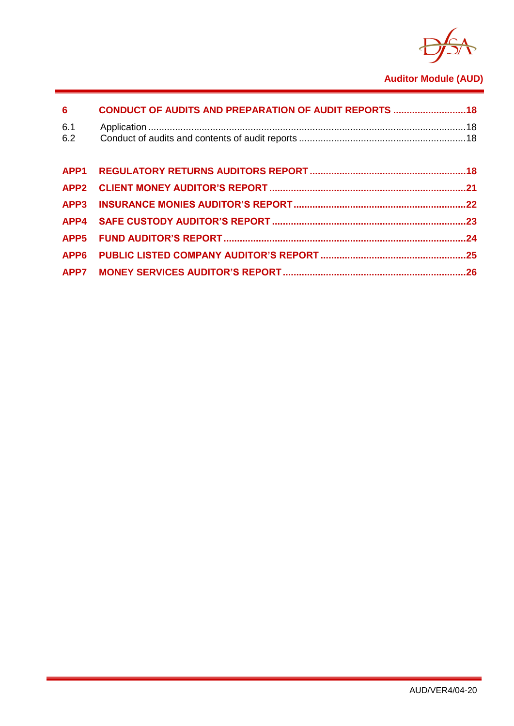

## **Auditor Module (AUD)**

| 6 <sup>1</sup>   | <b>CONDUCT OF AUDITS AND PREPARATION OF AUDIT REPORTS  18</b> |  |
|------------------|---------------------------------------------------------------|--|
| 6.1<br>6.2       |                                                               |  |
| APP <sub>1</sub> |                                                               |  |
|                  |                                                               |  |
| APP <sub>3</sub> |                                                               |  |
|                  |                                                               |  |
| APP <sub>5</sub> |                                                               |  |
|                  |                                                               |  |
|                  |                                                               |  |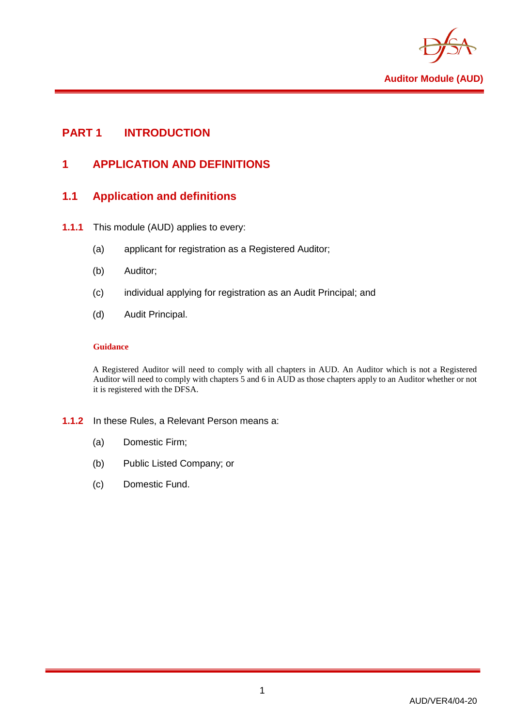

## <span id="page-3-1"></span><span id="page-3-0"></span>**PART 1 INTRODUCTION**

## **1 APPLICATION AND DEFINITIONS**

## <span id="page-3-2"></span>**1.1 Application and definitions**

- **1.1.1** This module (AUD) applies to every:
	- (a) applicant for registration as a Registered Auditor;
	- (b) Auditor;
	- (c) individual applying for registration as an Audit Principal; and
	- (d) Audit Principal.

#### **Guidance**

A Registered Auditor will need to comply with all chapters in AUD. An Auditor which is not a Registered Auditor will need to comply with chapters 5 and 6 in AUD as those chapters apply to an Auditor whether or not it is registered with the DFSA.

#### **1.1.2** In these Rules, a Relevant Person means a:

- (a) Domestic Firm;
- (b) Public Listed Company; or
- (c) Domestic Fund.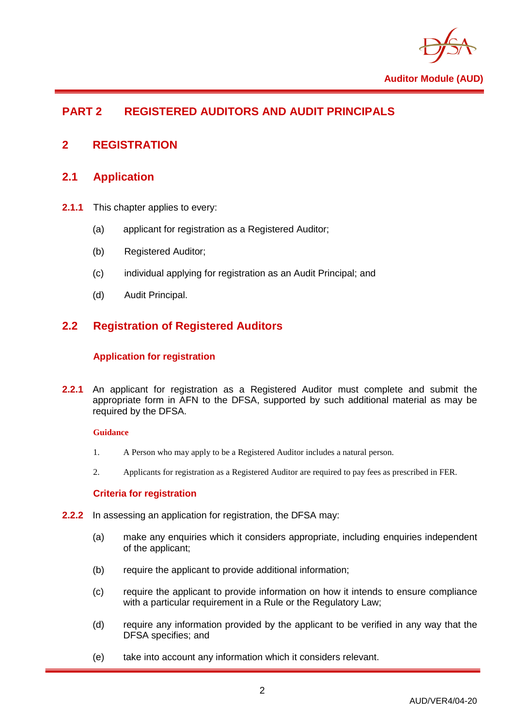

## <span id="page-4-0"></span>**PART 2 REGISTERED AUDITORS AND AUDIT PRINCIPALS**

## <span id="page-4-2"></span><span id="page-4-1"></span>**2 REGISTRATION**

## **2.1 Application**

- **2.1.1** This chapter applies to every:
	- (a) applicant for registration as a Registered Auditor;
	- (b) Registered Auditor;
	- (c) individual applying for registration as an Audit Principal; and
	- (d) Audit Principal.

## <span id="page-4-3"></span>**2.2 Registration of Registered Auditors**

#### **Application for registration**

**2.2.1** An applicant for registration as a Registered Auditor must complete and submit the appropriate form in AFN to the DFSA, supported by such additional material as may be required by the DFSA.

#### **Guidance**

- 1. A Person who may apply to be a Registered Auditor includes a natural person.
- 2. Applicants for registration as a Registered Auditor are required to pay fees as prescribed in FER.

#### **Criteria for registration**

- **2.2.2** In assessing an application for registration, the DFSA may:
	- (a) make any enquiries which it considers appropriate, including enquiries independent of the applicant;
	- (b) require the applicant to provide additional information;
	- (c) require the applicant to provide information on how it intends to ensure compliance with a particular requirement in a Rule or the Requlatory Law:
	- (d) require any information provided by the applicant to be verified in any way that the DFSA specifies; and
	- (e) take into account any information which it considers relevant.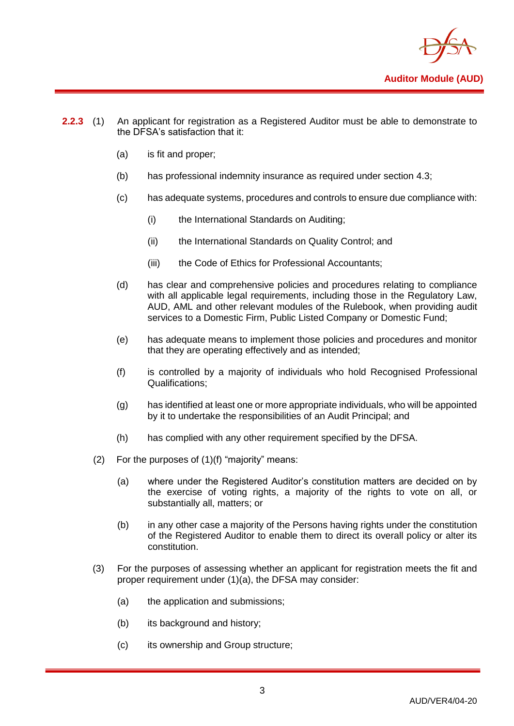

- **2.2.3** (1) An applicant for registration as a Registered Auditor must be able to demonstrate to the DFSA's satisfaction that it:
	- (a) is fit and proper;
	- (b) has professional indemnity insurance as required under section 4.3;
	- (c) has adequate systems, procedures and controls to ensure due compliance with:
		- (i) the International Standards on Auditing;
		- (ii) the International Standards on Quality Control; and
		- (iii) the Code of Ethics for Professional Accountants:
	- (d) has clear and comprehensive policies and procedures relating to compliance with all applicable legal requirements, including those in the Regulatory Law, AUD, AML and other relevant modules of the Rulebook, when providing audit services to a Domestic Firm, Public Listed Company or Domestic Fund;
	- (e) has adequate means to implement those policies and procedures and monitor that they are operating effectively and as intended;
	- (f) is controlled by a majority of individuals who hold Recognised Professional Qualifications;
	- (g) has identified at least one or more appropriate individuals, who will be appointed by it to undertake the responsibilities of an Audit Principal; and
	- (h) has complied with any other requirement specified by the DFSA.
	- (2) For the purposes of (1)(f) "majority" means:
		- (a) where under the Registered Auditor's constitution matters are decided on by the exercise of voting rights, a majority of the rights to vote on all, or substantially all, matters; or
		- (b) in any other case a majority of the Persons having rights under the constitution of the Registered Auditor to enable them to direct its overall policy or alter its constitution.
	- (3) For the purposes of assessing whether an applicant for registration meets the fit and proper requirement under (1)(a), the DFSA may consider:
		- (a) the application and submissions;
		- (b) its background and history;
		- (c) its ownership and Group structure;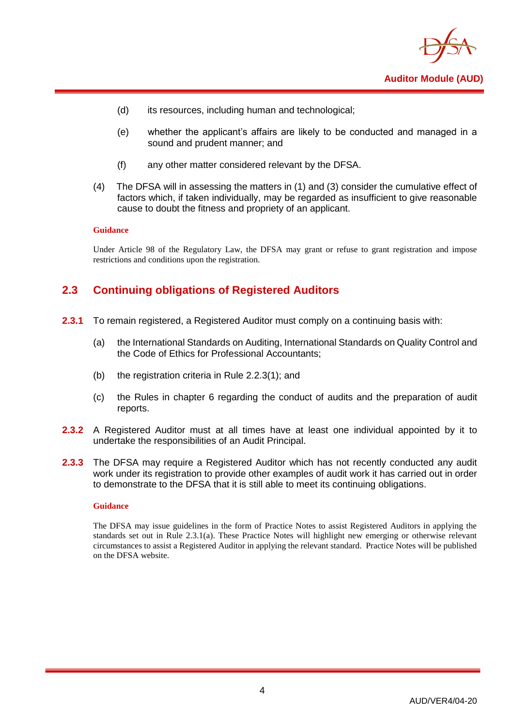

- (d) its resources, including human and technological;
- (e) whether the applicant's affairs are likely to be conducted and managed in a sound and prudent manner; and
- (f) any other matter considered relevant by the DFSA.
- (4) The DFSA will in assessing the matters in (1) and (3) consider the cumulative effect of factors which, if taken individually, may be regarded as insufficient to give reasonable cause to doubt the fitness and propriety of an applicant.

#### **Guidance**

Under Article 98 of the Regulatory Law, the DFSA may grant or refuse to grant registration and impose restrictions and conditions upon the registration.

## <span id="page-6-0"></span>**2.3 Continuing obligations of Registered Auditors**

- **2.3.1** To remain registered, a Registered Auditor must comply on a continuing basis with:
	- (a) the International Standards on Auditing, International Standards on Quality Control and the Code of Ethics for Professional Accountants;
	- (b) the registration criteria in Rule 2.2.3(1); and
	- (c) the Rules in chapter 6 regarding the conduct of audits and the preparation of audit reports.
- **2.3.2** A Registered Auditor must at all times have at least one individual appointed by it to undertake the responsibilities of an Audit Principal.
- **2.3.3** The DFSA may require a Registered Auditor which has not recently conducted any audit work under its registration to provide other examples of audit work it has carried out in order to demonstrate to the DFSA that it is still able to meet its continuing obligations.

#### **Guidance**

The DFSA may issue guidelines in the form of Practice Notes to assist Registered Auditors in applying the standards set out in Rule 2.3.1(a). These Practice Notes will highlight new emerging or otherwise relevant circumstances to assist a Registered Auditor in applying the relevant standard. Practice Notes will be published on the DFSA website.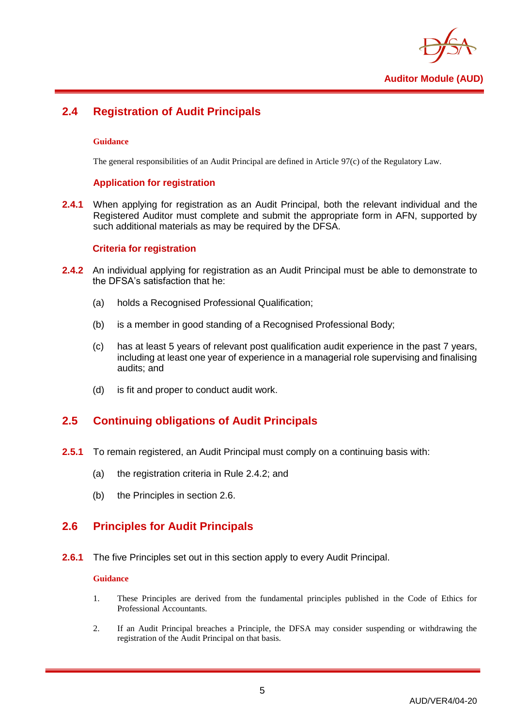

## <span id="page-7-0"></span>**2.4 Registration of Audit Principals**

#### **Guidance**

The general responsibilities of an Audit Principal are defined in Article 97(c) of the Regulatory Law.

#### **Application for registration**

**2.4.1** When applying for registration as an Audit Principal, both the relevant individual and the Registered Auditor must complete and submit the appropriate form in AFN, supported by such additional materials as may be required by the DFSA.

#### **Criteria for registration**

- **2.4.2** An individual applying for registration as an Audit Principal must be able to demonstrate to the DFSA's satisfaction that he:
	- (a) holds a Recognised Professional Qualification;
	- (b) is a member in good standing of a Recognised Professional Body;
	- (c) has at least 5 years of relevant post qualification audit experience in the past 7 years, including at least one year of experience in a managerial role supervising and finalising audits; and
	- (d) is fit and proper to conduct audit work.

## <span id="page-7-1"></span>**2.5 Continuing obligations of Audit Principals**

- **2.5.1** To remain registered, an Audit Principal must comply on a continuing basis with:
	- (a) the registration criteria in Rule 2.4.2; and
	- (b) the Principles in section 2.6.

## <span id="page-7-2"></span>**2.6 Principles for Audit Principals**

**2.6.1** The five Principles set out in this section apply to every Audit Principal.

#### **Guidance**

- 1. These Principles are derived from the fundamental principles published in the Code of Ethics for Professional Accountants.
- 2. If an Audit Principal breaches a Principle, the DFSA may consider suspending or withdrawing the registration of the Audit Principal on that basis.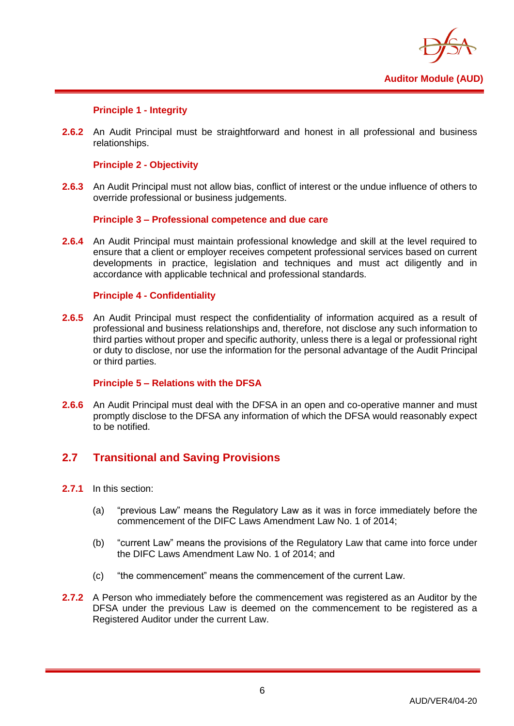

#### **Principle 1 - Integrity**

**2.6.2** An Audit Principal must be straightforward and honest in all professional and business relationships.

#### **Principle 2 - Objectivity**

**2.6.3** An Audit Principal must not allow bias, conflict of interest or the undue influence of others to override professional or business judgements.

#### **Principle 3 – Professional competence and due care**

**2.6.4** An Audit Principal must maintain professional knowledge and skill at the level required to ensure that a client or employer receives competent professional services based on current developments in practice, legislation and techniques and must act diligently and in accordance with applicable technical and professional standards.

#### **Principle 4 - Confidentiality**

**2.6.5** An Audit Principal must respect the confidentiality of information acquired as a result of professional and business relationships and, therefore, not disclose any such information to third parties without proper and specific authority, unless there is a legal or professional right or duty to disclose, nor use the information for the personal advantage of the Audit Principal or third parties.

#### **Principle 5 – Relations with the DFSA**

**2.6.6** An Audit Principal must deal with the DFSA in an open and co-operative manner and must promptly disclose to the DFSA any information of which the DFSA would reasonably expect to be notified.

## <span id="page-8-0"></span>**2.7 Transitional and Saving Provisions**

- **2.7.1** In this section:
	- (a) "previous Law" means the Regulatory Law as it was in force immediately before the commencement of the DIFC Laws Amendment Law No. 1 of 2014;
	- (b) "current Law" means the provisions of the Regulatory Law that came into force under the DIFC Laws Amendment Law No. 1 of 2014; and
	- (c) "the commencement" means the commencement of the current Law.
- **2.7.2** A Person who immediately before the commencement was registered as an Auditor by the DFSA under the previous Law is deemed on the commencement to be registered as a Registered Auditor under the current Law.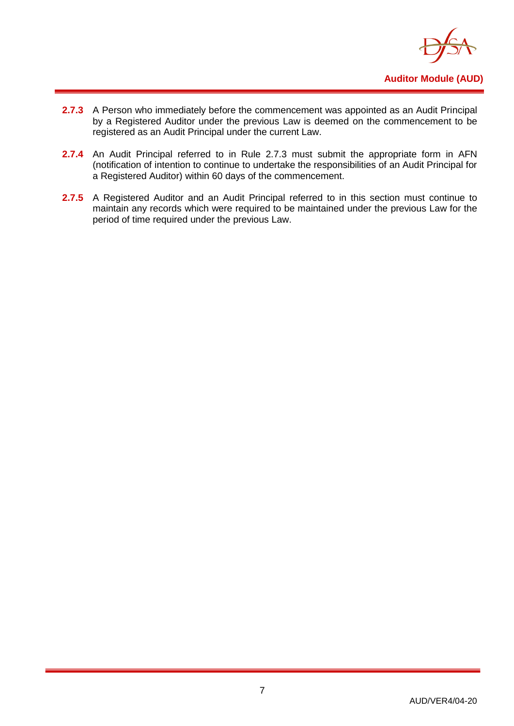

- **2.7.3** A Person who immediately before the commencement was appointed as an Audit Principal by a Registered Auditor under the previous Law is deemed on the commencement to be registered as an Audit Principal under the current Law.
- 2.7.4 An Audit Principal referred to in Rule 2.7.3 must submit the appropriate form in AFN (notification of intention to continue to undertake the responsibilities of an Audit Principal for a Registered Auditor) within 60 days of the commencement.
- 2.7.5 A Registered Auditor and an Audit Principal referred to in this section must continue to maintain any records which were required to be maintained under the previous Law for the period of time required under the previous Law.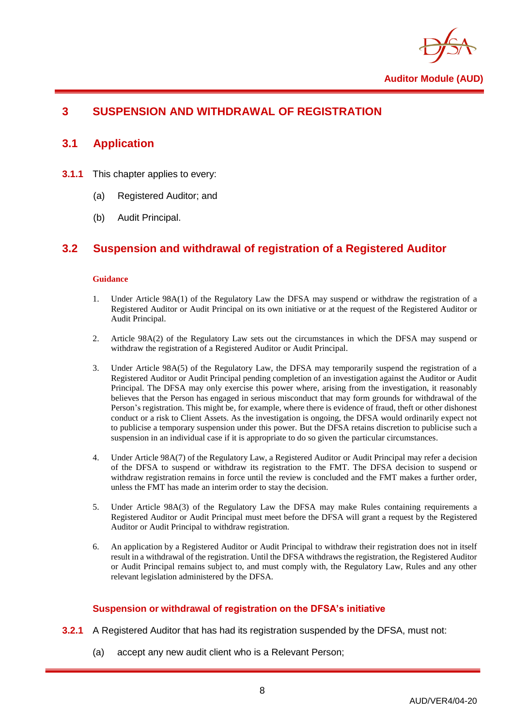

## <span id="page-10-1"></span><span id="page-10-0"></span>**3 SUSPENSION AND WITHDRAWAL OF REGISTRATION**

## **3.1 Application**

- **3.1.1** This chapter applies to every:
	- (a) Registered Auditor; and
	- (b) Audit Principal.

## <span id="page-10-2"></span>**3.2 Suspension and withdrawal of registration of a Registered Auditor**

#### **Guidance**

- 1. Under Article 98A(1) of the Regulatory Law the DFSA may suspend or withdraw the registration of a Registered Auditor or Audit Principal on its own initiative or at the request of the Registered Auditor or Audit Principal.
- 2. Article 98A(2) of the Regulatory Law sets out the circumstances in which the DFSA may suspend or withdraw the registration of a Registered Auditor or Audit Principal.
- 3. Under Article 98A(5) of the Regulatory Law, the DFSA may temporarily suspend the registration of a Registered Auditor or Audit Principal pending completion of an investigation against the Auditor or Audit Principal. The DFSA may only exercise this power where, arising from the investigation, it reasonably believes that the Person has engaged in serious misconduct that may form grounds for withdrawal of the Person's registration. This might be, for example, where there is evidence of fraud, theft or other dishonest conduct or a risk to Client Assets. As the investigation is ongoing, the DFSA would ordinarily expect not to publicise a temporary suspension under this power. But the DFSA retains discretion to publicise such a suspension in an individual case if it is appropriate to do so given the particular circumstances.
- 4. Under Article 98A(7) of the Regulatory Law, a Registered Auditor or Audit Principal may refer a decision of the DFSA to suspend or withdraw its registration to the FMT. The DFSA decision to suspend or withdraw registration remains in force until the review is concluded and the FMT makes a further order, unless the FMT has made an interim order to stay the decision.
- 5. Under Article 98A(3) of the Regulatory Law the DFSA may make Rules containing requirements a Registered Auditor or Audit Principal must meet before the DFSA will grant a request by the Registered Auditor or Audit Principal to withdraw registration.
- 6. An application by a Registered Auditor or Audit Principal to withdraw their registration does not in itself result in a withdrawal of the registration. Until the DFSA withdraws the registration, the Registered Auditor or Audit Principal remains subject to, and must comply with, the Regulatory Law, Rules and any other relevant legislation administered by the DFSA.

#### **Suspension or withdrawal of registration on the DFSA's initiative**

- **3.2.1** A Registered Auditor that has had its registration suspended by the DFSA, must not:
	- (a) accept any new audit client who is a Relevant Person;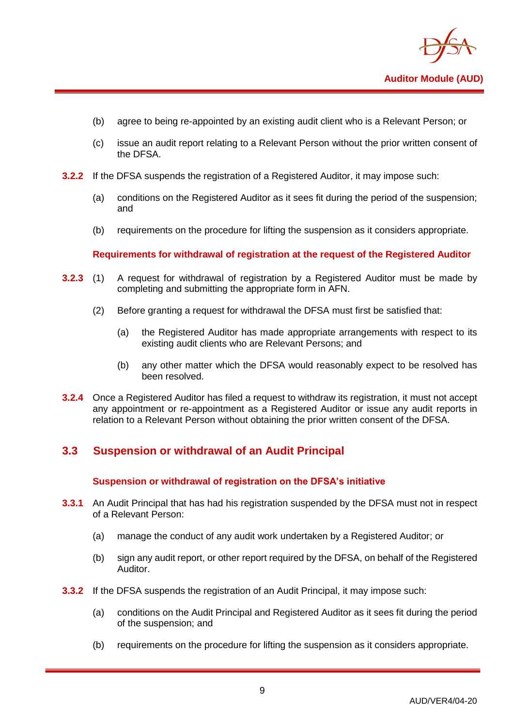

- (b) agree to being re-appointed by an existing audit client who is a Relevant Person; or
- (c) issue an audit report relating to a Relevant Person without the prior written consent of the DFSA.
- **3.2.2** If the DFSA suspends the registration of a Registered Auditor, it may impose such:
	- (a) conditions on the Registered Auditor as it sees fit during the period of the suspension; and
	- (b) requirements on the procedure for lifting the suspension as it considers appropriate.

**Requirements for withdrawal of registration at the request of the Registered Auditor**

- **3.2.3** (1) A request for withdrawal of registration by a Registered Auditor must be made by completing and submitting the appropriate form in AFN.
	- (2) Before granting a request for withdrawal the DFSA must first be satisfied that:
		- (a) the Registered Auditor has made appropriate arrangements with respect to its existing audit clients who are Relevant Persons; and
		- (b) any other matter which the DFSA would reasonably expect to be resolved has been resolved.
- **3.2.4** Once a Registered Auditor has filed a request to withdraw its registration, it must not accept any appointment or re-appointment as a Registered Auditor or issue any audit reports in relation to a Relevant Person without obtaining the prior written consent of the DFSA.

#### <span id="page-11-0"></span>**3.3 Suspension or withdrawal of an Audit Principal**

#### **Suspension or withdrawal of registration on the DFSA's initiative**

- **3.3.1** An Audit Principal that has had his registration suspended by the DFSA must not in respect of a Relevant Person:
	- (a) manage the conduct of any audit work undertaken by a Registered Auditor; or
	- (b) sign any audit report, or other report required by the DFSA, on behalf of the Registered Auditor.
- **3.3.2** If the DFSA suspends the registration of an Audit Principal, it may impose such:
	- (a) conditions on the Audit Principal and Registered Auditor as it sees fit during the period of the suspension; and
	- (b) requirements on the procedure for lifting the suspension as it considers appropriate.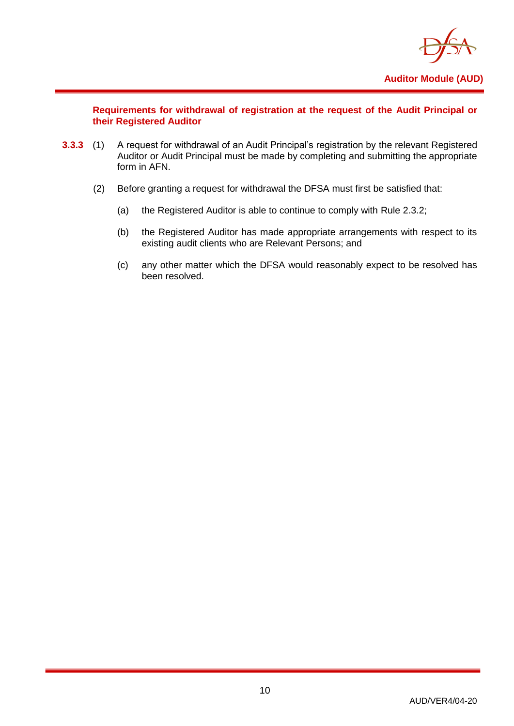

**Requirements for withdrawal of registration at the request of the Audit Principal or their Registered Auditor**

- **3.3.3** (1) A request for withdrawal of an Audit Principal's registration by the relevant Registered Auditor or Audit Principal must be made by completing and submitting the appropriate form in AFN.
	- (2) Before granting a request for withdrawal the DFSA must first be satisfied that:
		- (a) the Registered Auditor is able to continue to comply with Rule 2.3.2;
		- (b) the Registered Auditor has made appropriate arrangements with respect to its existing audit clients who are Relevant Persons; and
		- (c) any other matter which the DFSA would reasonably expect to be resolved has been resolved.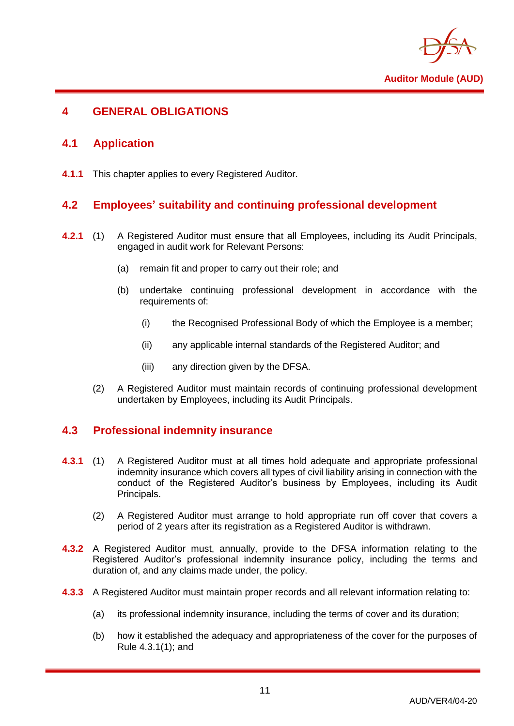

## <span id="page-13-1"></span><span id="page-13-0"></span>**4 GENERAL OBLIGATIONS**

## **4.1 Application**

<span id="page-13-2"></span>**4.1.1** This chapter applies to every Registered Auditor.

## **4.2 Employees' suitability and continuing professional development**

- **4.2.1** (1) A Registered Auditor must ensure that all Employees, including its Audit Principals, engaged in audit work for Relevant Persons:
	- (a) remain fit and proper to carry out their role; and
	- (b) undertake continuing professional development in accordance with the requirements of:
		- (i) the Recognised Professional Body of which the Employee is a member;
		- (ii) any applicable internal standards of the Registered Auditor; and
		- (iii) any direction given by the DFSA.
	- (2) A Registered Auditor must maintain records of continuing professional development undertaken by Employees, including its Audit Principals.

## <span id="page-13-3"></span>**4.3 Professional indemnity insurance**

- **4.3.1** (1) A Registered Auditor must at all times hold adequate and appropriate professional indemnity insurance which covers all types of civil liability arising in connection with the conduct of the Registered Auditor's business by Employees, including its Audit Principals.
	- (2) A Registered Auditor must arrange to hold appropriate run off cover that covers a period of 2 years after its registration as a Registered Auditor is withdrawn.
- **4.3.2** A Registered Auditor must, annually, provide to the DFSA information relating to the Registered Auditor's professional indemnity insurance policy, including the terms and duration of, and any claims made under, the policy.
- **4.3.3** A Registered Auditor must maintain proper records and all relevant information relating to:
	- (a) its professional indemnity insurance, including the terms of cover and its duration;
	- (b) how it established the adequacy and appropriateness of the cover for the purposes of Rule 4.3.1(1); and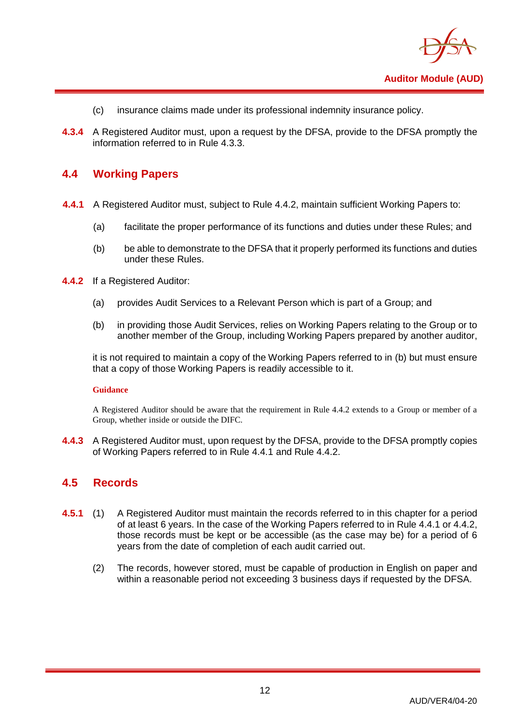

- (c) insurance claims made under its professional indemnity insurance policy.
- **4.3.4** A Registered Auditor must, upon a request by the DFSA, provide to the DFSA promptly the information referred to in Rule 4.3.3.

#### <span id="page-14-0"></span>**4.4 Working Papers**

- **4.4.1** A Registered Auditor must, subject to Rule 4.4.2, maintain sufficient Working Papers to:
	- (a) facilitate the proper performance of its functions and duties under these Rules; and
	- (b) be able to demonstrate to the DFSA that it properly performed its functions and duties under these Rules.
- **4.4.2** If a Registered Auditor:
	- (a) provides Audit Services to a Relevant Person which is part of a Group; and
	- (b) in providing those Audit Services, relies on Working Papers relating to the Group or to another member of the Group, including Working Papers prepared by another auditor,

it is not required to maintain a copy of the Working Papers referred to in (b) but must ensure that a copy of those Working Papers is readily accessible to it.

#### **Guidance**

A Registered Auditor should be aware that the requirement in Rule 4.4.2 extends to a Group or member of a Group, whether inside or outside the DIFC.

**4.4.3** A Registered Auditor must, upon request by the DFSA, provide to the DFSA promptly copies of Working Papers referred to in Rule 4.4.1 and Rule 4.4.2.

#### <span id="page-14-1"></span>**4.5 Records**

- **4.5.1** (1) A Registered Auditor must maintain the records referred to in this chapter for a period of at least 6 years. In the case of the Working Papers referred to in Rule 4.4.1 or 4.4.2, those records must be kept or be accessible (as the case may be) for a period of 6 years from the date of completion of each audit carried out.
	- (2) The records, however stored, must be capable of production in English on paper and within a reasonable period not exceeding 3 business days if requested by the DFSA.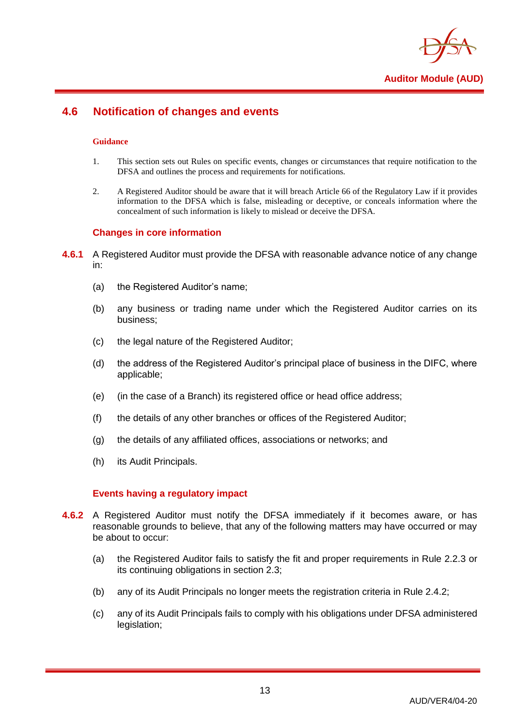

## <span id="page-15-0"></span>**4.6 Notification of changes and events**

#### **Guidance**

- 1. This section sets out Rules on specific events, changes or circumstances that require notification to the DFSA and outlines the process and requirements for notifications.
- 2. A Registered Auditor should be aware that it will breach Article 66 of the Regulatory Law if it provides information to the DFSA which is false, misleading or deceptive, or conceals information where the concealment of such information is likely to mislead or deceive the DFSA.

#### **Changes in core information**

- **4.6.1** A Registered Auditor must provide the DFSA with reasonable advance notice of any change in:
	- (a) the Registered Auditor's name;
	- (b) any business or trading name under which the Registered Auditor carries on its business;
	- (c) the legal nature of the Registered Auditor;
	- (d) the address of the Registered Auditor's principal place of business in the DIFC, where applicable;
	- (e) (in the case of a Branch) its registered office or head office address;
	- (f) the details of any other branches or offices of the Registered Auditor;
	- (g) the details of any affiliated offices, associations or networks; and
	- (h) its Audit Principals.

#### **Events having a regulatory impact**

- **4.6.2** A Registered Auditor must notify the DFSA immediately if it becomes aware, or has reasonable grounds to believe, that any of the following matters may have occurred or may be about to occur:
	- (a) the Registered Auditor fails to satisfy the fit and proper requirements in Rule 2.2.3 or its continuing obligations in section 2.3;
	- (b) any of its Audit Principals no longer meets the registration criteria in Rule 2.4.2;
	- (c) any of its Audit Principals fails to comply with his obligations under DFSA administered legislation;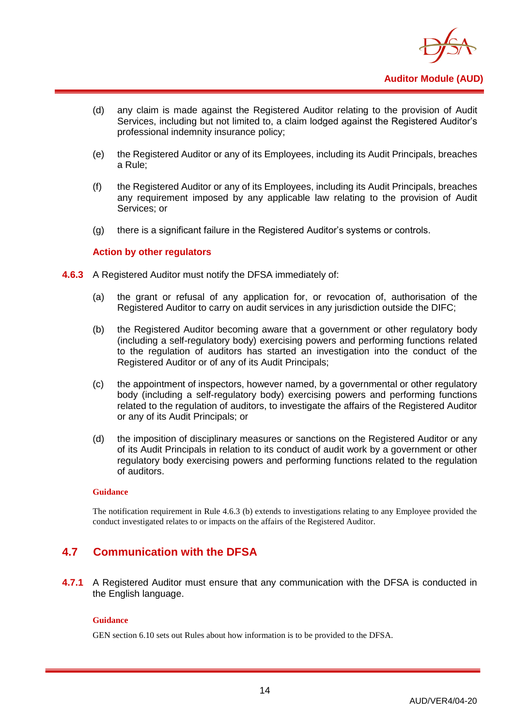

- (d) any claim is made against the Registered Auditor relating to the provision of Audit Services, including but not limited to, a claim lodged against the Registered Auditor's professional indemnity insurance policy;
- (e) the Registered Auditor or any of its Employees, including its Audit Principals, breaches a Rule;
- (f) the Registered Auditor or any of its Employees, including its Audit Principals, breaches any requirement imposed by any applicable law relating to the provision of Audit Services; or
- (g) there is a significant failure in the Registered Auditor's systems or controls.

#### **Action by other regulators**

- **4.6.3** A Registered Auditor must notify the DFSA immediately of:
	- (a) the grant or refusal of any application for, or revocation of, authorisation of the Registered Auditor to carry on audit services in any jurisdiction outside the DIFC;
	- (b) the Registered Auditor becoming aware that a government or other regulatory body (including a self-regulatory body) exercising powers and performing functions related to the regulation of auditors has started an investigation into the conduct of the Registered Auditor or of any of its Audit Principals;
	- (c) the appointment of inspectors, however named, by a governmental or other regulatory body (including a self-regulatory body) exercising powers and performing functions related to the regulation of auditors, to investigate the affairs of the Registered Auditor or any of its Audit Principals; or
	- (d) the imposition of disciplinary measures or sanctions on the Registered Auditor or any of its Audit Principals in relation to its conduct of audit work by a government or other regulatory body exercising powers and performing functions related to the regulation of auditors.

#### **Guidance**

The notification requirement in Rule 4.6.3 (b) extends to investigations relating to any Employee provided the conduct investigated relates to or impacts on the affairs of the Registered Auditor.

## <span id="page-16-0"></span>**4.7 Communication with the DFSA**

**4.7.1** A Registered Auditor must ensure that any communication with the DFSA is conducted in the English language.

#### **Guidance**

GEN section 6.10 sets out Rules about how information is to be provided to the DFSA.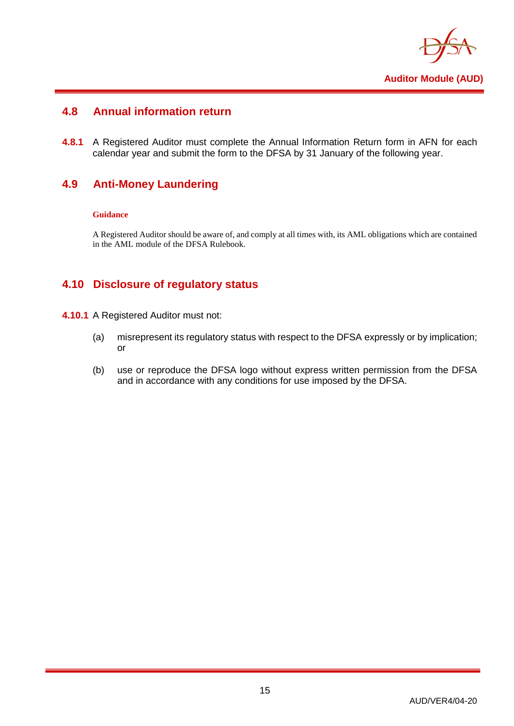

## <span id="page-17-0"></span>**4.8 Annual information return**

**4.8.1** A Registered Auditor must complete the Annual Information Return form in AFN for each calendar year and submit the form to the DFSA by 31 January of the following year.

## <span id="page-17-1"></span>**4.9 Anti-Money Laundering**

#### **Guidance**

A Registered Auditor should be aware of, and comply at all times with, its AML obligations which are contained in the AML module of the DFSA Rulebook.

## <span id="page-17-2"></span>**4.10 Disclosure of regulatory status**

- **4.10.1** A Registered Auditor must not:
	- (a) misrepresent its regulatory status with respect to the DFSA expressly or by implication; or
	- (b) use or reproduce the DFSA logo without express written permission from the DFSA and in accordance with any conditions for use imposed by the DFSA.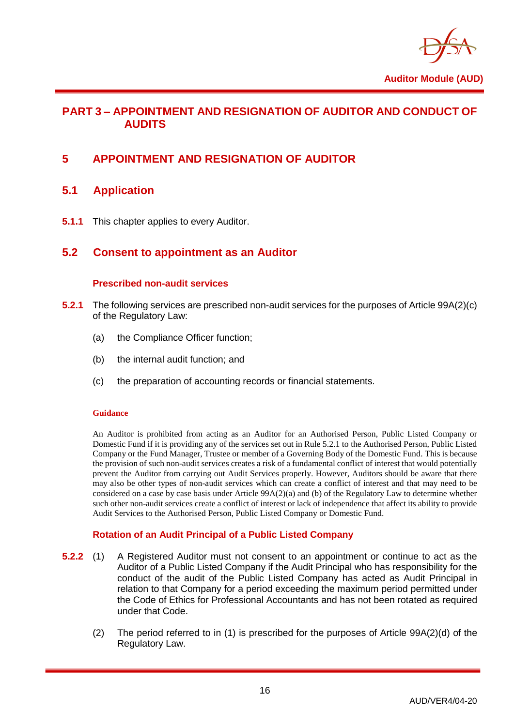

## <span id="page-18-0"></span>**PART 3 – APPOINTMENT AND RESIGNATION OF AUDITOR AND CONDUCT OF AUDITS**

## <span id="page-18-2"></span><span id="page-18-1"></span>**5 APPOINTMENT AND RESIGNATION OF AUDITOR**

## **5.1 Application**

<span id="page-18-3"></span>**5.1.1** This chapter applies to every Auditor.

## **5.2 Consent to appointment as an Auditor**

#### **Prescribed non-audit services**

- **5.2.1** The following services are prescribed non-audit services for the purposes of Article 99A(2)(c) of the Regulatory Law:
	- (a) the Compliance Officer function;
	- (b) the internal audit function; and
	- (c) the preparation of accounting records or financial statements.

#### **Guidance**

An Auditor is prohibited from acting as an Auditor for an Authorised Person, Public Listed Company or Domestic Fund if it is providing any of the services set out in Rule 5.2.1 to the Authorised Person, Public Listed Company or the Fund Manager, Trustee or member of a Governing Body of the Domestic Fund. This is because the provision of such non-audit services creates a risk of a fundamental conflict of interest that would potentially prevent the Auditor from carrying out Audit Services properly. However, Auditors should be aware that there may also be other types of non-audit services which can create a conflict of interest and that may need to be considered on a case by case basis under Article 99A(2)(a) and (b) of the Regulatory Law to determine whether such other non-audit services create a conflict of interest or lack of independence that affect its ability to provide Audit Services to the Authorised Person, Public Listed Company or Domestic Fund.

#### **Rotation of an Audit Principal of a Public Listed Company**

- **5.2.2** (1) A Registered Auditor must not consent to an appointment or continue to act as the Auditor of a Public Listed Company if the Audit Principal who has responsibility for the conduct of the audit of the Public Listed Company has acted as Audit Principal in relation to that Company for a period exceeding the maximum period permitted under the Code of Ethics for Professional Accountants and has not been rotated as required under that Code.
	- (2) The period referred to in (1) is prescribed for the purposes of Article 99A(2)(d) of the Regulatory Law.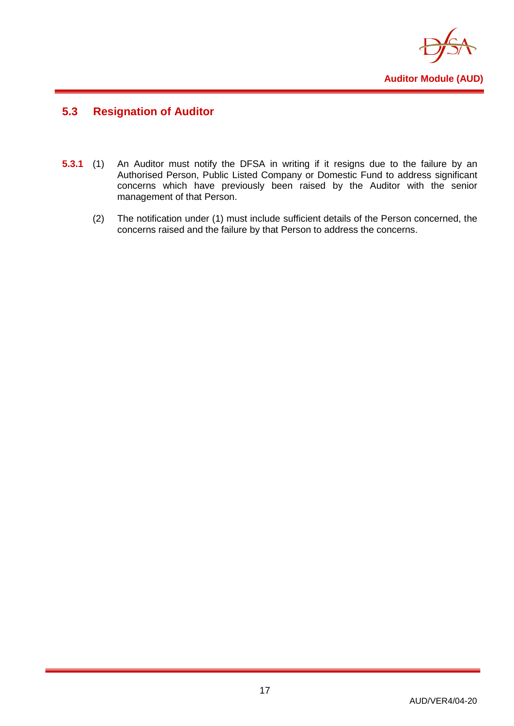

## <span id="page-19-0"></span>**5.3 Resignation of Auditor**

- **5.3.1** (1) An Auditor must notify the DFSA in writing if it resigns due to the failure by an Authorised Person, Public Listed Company or Domestic Fund to address significant concerns which have previously been raised by the Auditor with the senior management of that Person.
	- (2) The notification under (1) must include sufficient details of the Person concerned, the concerns raised and the failure by that Person to address the concerns.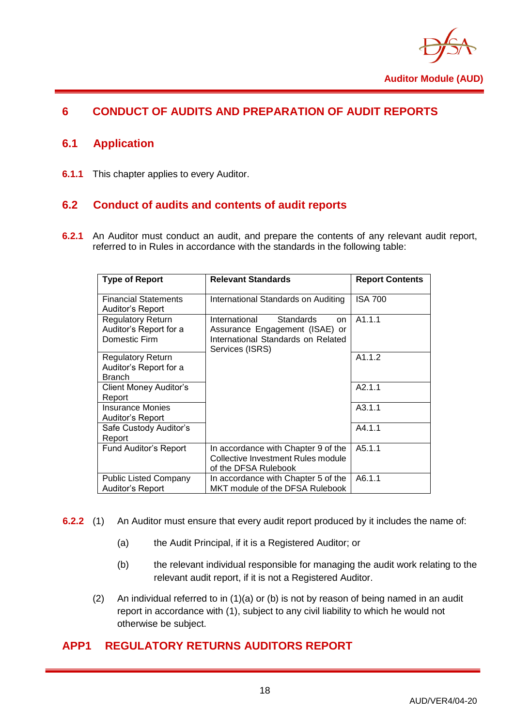

## <span id="page-20-1"></span><span id="page-20-0"></span>**6 CONDUCT OF AUDITS AND PREPARATION OF AUDIT REPORTS**

## **6.1 Application**

<span id="page-20-2"></span>**6.1.1** This chapter applies to every Auditor.

## **6.2 Conduct of audits and contents of audit reports**

**6.2.1** An Auditor must conduct an audit, and prepare the contents of any relevant audit report, referred to in Rules in accordance with the standards in the following table:

| <b>Type of Report</b>                                               | <b>Relevant Standards</b>                                                                                                          | <b>Report Contents</b> |
|---------------------------------------------------------------------|------------------------------------------------------------------------------------------------------------------------------------|------------------------|
| <b>Financial Statements</b><br>Auditor's Report                     | International Standards on Auditing                                                                                                | <b>ISA 700</b>         |
| <b>Regulatory Return</b><br>Auditor's Report for a<br>Domestic Firm | International<br><b>Standards</b><br>on<br>Assurance Engagement (ISAE) or<br>International Standards on Related<br>Services (ISRS) | A1.1.1                 |
| <b>Regulatory Return</b><br>Auditor's Report for a<br><b>Branch</b> |                                                                                                                                    | A1.1.2                 |
| Client Money Auditor's<br>Report                                    |                                                                                                                                    | A2.1.1                 |
| <b>Insurance Monies</b><br>Auditor's Report                         |                                                                                                                                    | A3.1.1                 |
| Safe Custody Auditor's<br>Report                                    |                                                                                                                                    | A4.1.1                 |
| <b>Fund Auditor's Report</b>                                        | In accordance with Chapter 9 of the<br>Collective Investment Rules module<br>of the DFSA Rulebook                                  | A5.1.1                 |
| <b>Public Listed Company</b><br>Auditor's Report                    | In accordance with Chapter 5 of the<br>MKT module of the DFSA Rulebook                                                             | A6.1.1                 |

- **6.2.2** (1) An Auditor must ensure that every audit report produced by it includes the name of:
	- (a) the Audit Principal, if it is a Registered Auditor; or
	- (b) the relevant individual responsible for managing the audit work relating to the relevant audit report, if it is not a Registered Auditor.
	- (2) An individual referred to in (1)(a) or (b) is not by reason of being named in an audit report in accordance with (1), subject to any civil liability to which he would not otherwise be subject.

## <span id="page-20-3"></span>**APP1 REGULATORY RETURNS AUDITORS REPORT**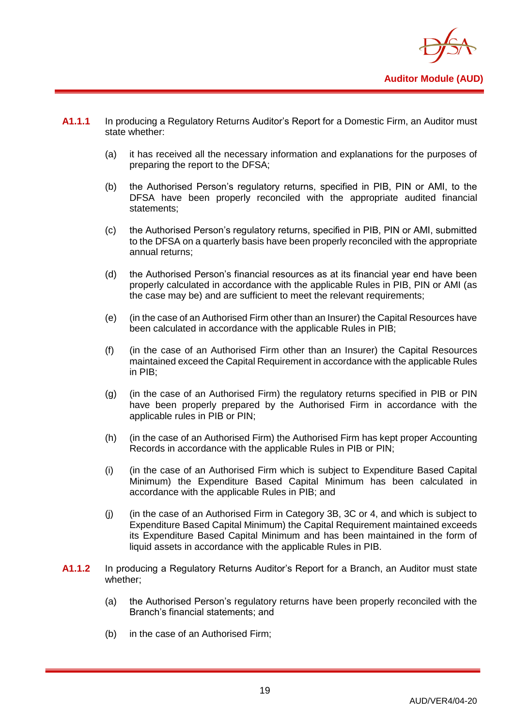

- **A1.1.1** In producing a Regulatory Returns Auditor's Report for a Domestic Firm, an Auditor must state whether:
	- (a) it has received all the necessary information and explanations for the purposes of preparing the report to the DFSA;
	- (b) the Authorised Person's regulatory returns, specified in PIB, PIN or AMI, to the DFSA have been properly reconciled with the appropriate audited financial statements;
	- (c) the Authorised Person's regulatory returns, specified in PIB, PIN or AMI, submitted to the DFSA on a quarterly basis have been properly reconciled with the appropriate annual returns;
	- (d) the Authorised Person's financial resources as at its financial year end have been properly calculated in accordance with the applicable Rules in PIB, PIN or AMI (as the case may be) and are sufficient to meet the relevant requirements;
	- (e) (in the case of an Authorised Firm other than an Insurer) the Capital Resources have been calculated in accordance with the applicable Rules in PIB;
	- (f) (in the case of an Authorised Firm other than an Insurer) the Capital Resources maintained exceed the Capital Requirement in accordance with the applicable Rules in PIB;
	- (g) (in the case of an Authorised Firm) the regulatory returns specified in PIB or PIN have been properly prepared by the Authorised Firm in accordance with the applicable rules in PIB or PIN;
	- (h) (in the case of an Authorised Firm) the Authorised Firm has kept proper Accounting Records in accordance with the applicable Rules in PIB or PIN;
	- (i) (in the case of an Authorised Firm which is subject to Expenditure Based Capital Minimum) the Expenditure Based Capital Minimum has been calculated in accordance with the applicable Rules in PIB; and
	- (j) (in the case of an Authorised Firm in Category 3B, 3C or 4, and which is subject to Expenditure Based Capital Minimum) the Capital Requirement maintained exceeds its Expenditure Based Capital Minimum and has been maintained in the form of liquid assets in accordance with the applicable Rules in PIB.
- **A1.1.2** In producing a Regulatory Returns Auditor's Report for a Branch, an Auditor must state whether;
	- (a) the Authorised Person's regulatory returns have been properly reconciled with the Branch's financial statements; and
	- (b) in the case of an Authorised Firm;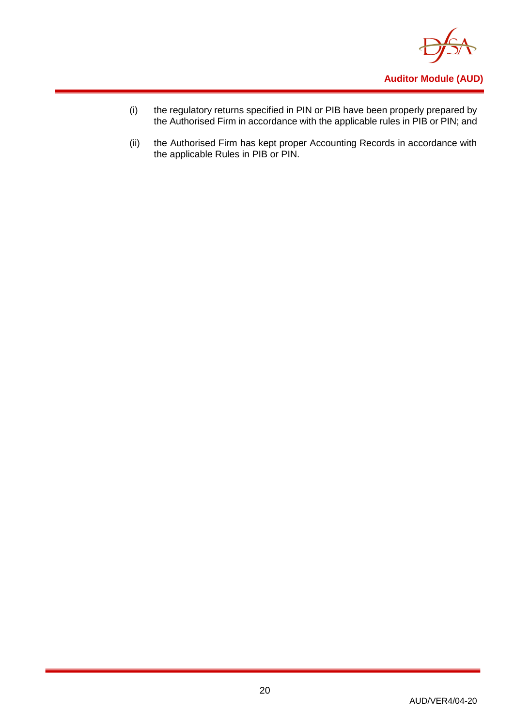

- (i) the regulatory returns specified in PIN or PIB have been properly prepared by the Authorised Firm in accordance with the applicable rules in PIB or PIN; and
- (ii) the Authorised Firm has kept proper Accounting Records in accordance with the applicable Rules in PIB or PIN.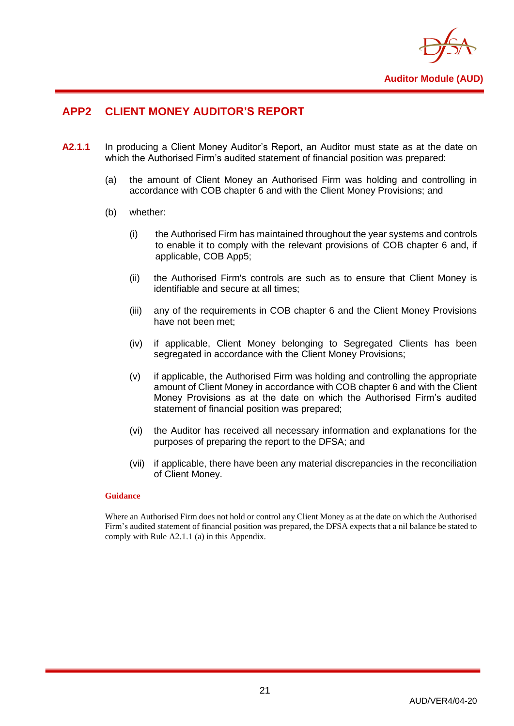

## <span id="page-23-0"></span>**APP2 CLIENT MONEY AUDITOR'S REPORT**

- **A2.1.1** In producing a Client Money Auditor's Report, an Auditor must state as at the date on which the Authorised Firm's audited statement of financial position was prepared:
	- (a) the amount of Client Money an Authorised Firm was holding and controlling in accordance with COB chapter 6 and with the Client Money Provisions; and
	- (b) whether:
		- (i) the Authorised Firm has maintained throughout the year systems and controls to enable it to comply with the relevant provisions of COB chapter 6 and, if applicable, COB App5;
		- (ii) the Authorised Firm's controls are such as to ensure that Client Money is identifiable and secure at all times;
		- (iii) any of the requirements in COB chapter 6 and the Client Money Provisions have not been met;
		- (iv) if applicable, Client Money belonging to Segregated Clients has been segregated in accordance with the Client Money Provisions;
		- (v) if applicable, the Authorised Firm was holding and controlling the appropriate amount of Client Money in accordance with COB chapter 6 and with the Client Money Provisions as at the date on which the Authorised Firm's audited statement of financial position was prepared;
		- (vi) the Auditor has received all necessary information and explanations for the purposes of preparing the report to the DFSA; and
		- (vii) if applicable, there have been any material discrepancies in the reconciliation of Client Money.

#### **Guidance**

Where an Authorised Firm does not hold or control any Client Money as at the date on which the Authorised Firm's audited statement of financial position was prepared, the DFSA expects that a nil balance be stated to comply with Rule A2.1.1 (a) in this Appendix.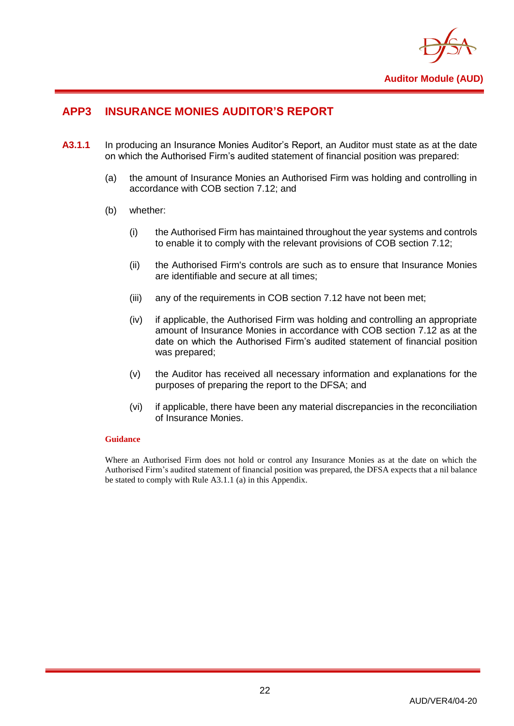

## <span id="page-24-0"></span>**APP3 INSURANCE MONIES AUDITOR'S REPORT**

- **A3.1.1** In producing an Insurance Monies Auditor's Report, an Auditor must state as at the date on which the Authorised Firm's audited statement of financial position was prepared:
	- (a) the amount of Insurance Monies an Authorised Firm was holding and controlling in accordance with COB section 7.12; and
	- (b) whether:
		- (i) the Authorised Firm has maintained throughout the year systems and controls to enable it to comply with the relevant provisions of COB section 7.12;
		- (ii) the Authorised Firm's controls are such as to ensure that Insurance Monies are identifiable and secure at all times;
		- (iii) any of the requirements in COB section 7.12 have not been met;
		- (iv) if applicable, the Authorised Firm was holding and controlling an appropriate amount of Insurance Monies in accordance with COB section 7.12 as at the date on which the Authorised Firm's audited statement of financial position was prepared;
		- (v) the Auditor has received all necessary information and explanations for the purposes of preparing the report to the DFSA; and
		- (vi) if applicable, there have been any material discrepancies in the reconciliation of Insurance Monies.

#### **Guidance**

Where an Authorised Firm does not hold or control any Insurance Monies as at the date on which the Authorised Firm's audited statement of financial position was prepared, the DFSA expects that a nil balance be stated to comply with Rule A3.1.1 (a) in this Appendix.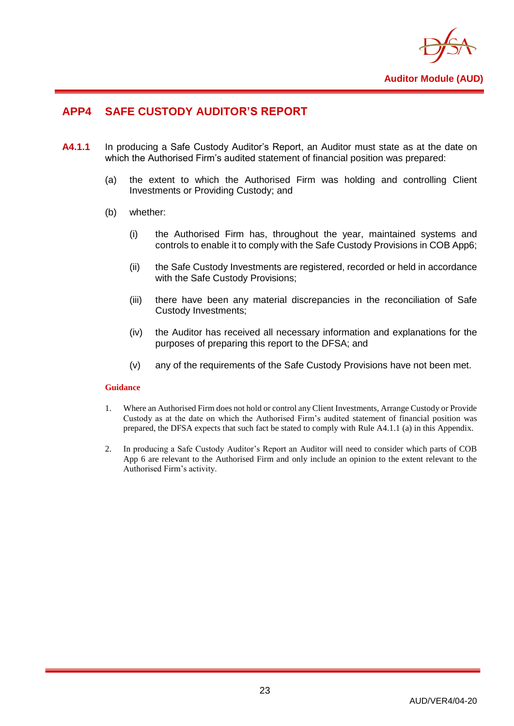

## <span id="page-25-0"></span>**APP4 SAFE CUSTODY AUDITOR'S REPORT**

- **A4.1.1** In producing a Safe Custody Auditor's Report, an Auditor must state as at the date on which the Authorised Firm's audited statement of financial position was prepared:
	- (a) the extent to which the Authorised Firm was holding and controlling Client Investments or Providing Custody; and
	- (b) whether:
		- (i) the Authorised Firm has, throughout the year, maintained systems and controls to enable it to comply with the Safe Custody Provisions in COB App6;
		- (ii) the Safe Custody Investments are registered, recorded or held in accordance with the Safe Custody Provisions;
		- (iii) there have been any material discrepancies in the reconciliation of Safe Custody Investments;
		- (iv) the Auditor has received all necessary information and explanations for the purposes of preparing this report to the DFSA; and
		- (v) any of the requirements of the Safe Custody Provisions have not been met.

#### **Guidance**

- 1. Where an Authorised Firm does not hold or control any Client Investments, Arrange Custody or Provide Custody as at the date on which the Authorised Firm's audited statement of financial position was prepared, the DFSA expects that such fact be stated to comply with Rule A4.1.1 (a) in this Appendix.
- 2. In producing a Safe Custody Auditor's Report an Auditor will need to consider which parts of COB App 6 are relevant to the Authorised Firm and only include an opinion to the extent relevant to the Authorised Firm's activity.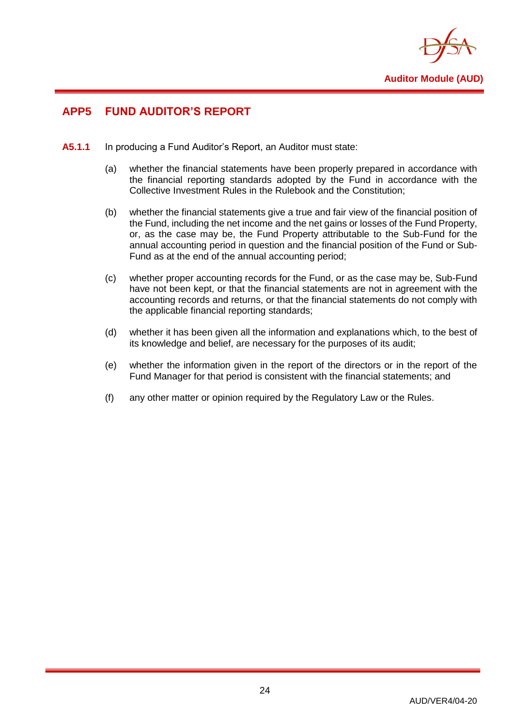

## <span id="page-26-0"></span>**APP5 FUND AUDITOR'S REPORT**

- **A5.1.1** In producing a Fund Auditor's Report, an Auditor must state:
	- (a) whether the financial statements have been properly prepared in accordance with the financial reporting standards adopted by the Fund in accordance with the Collective Investment Rules in the Rulebook and the Constitution;
	- (b) whether the financial statements give a true and fair view of the financial position of the Fund, including the net income and the net gains or losses of the Fund Property, or, as the case may be, the Fund Property attributable to the Sub-Fund for the annual accounting period in question and the financial position of the Fund or Sub-Fund as at the end of the annual accounting period;
	- (c) whether proper accounting records for the Fund, or as the case may be, Sub-Fund have not been kept, or that the financial statements are not in agreement with the accounting records and returns, or that the financial statements do not comply with the applicable financial reporting standards;
	- (d) whether it has been given all the information and explanations which, to the best of its knowledge and belief, are necessary for the purposes of its audit;
	- (e) whether the information given in the report of the directors or in the report of the Fund Manager for that period is consistent with the financial statements; and
	- (f) any other matter or opinion required by the Regulatory Law or the Rules.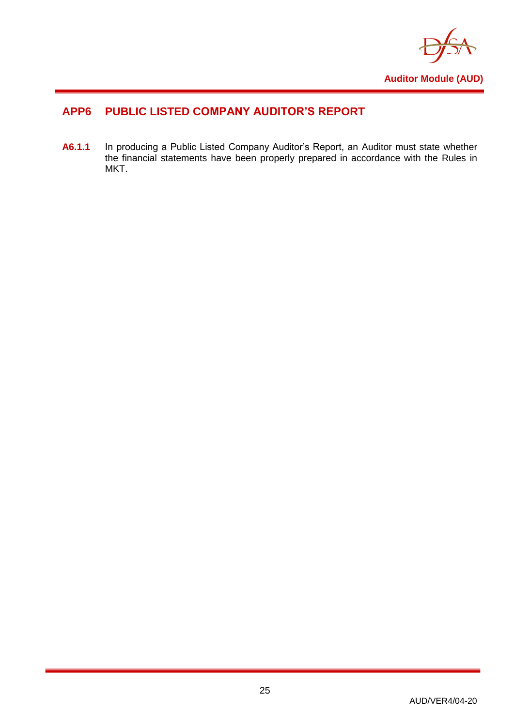

## <span id="page-27-0"></span>**APP6 PUBLIC LISTED COMPANY AUDITOR'S REPORT**

**A6.1.1** In producing a Public Listed Company Auditor's Report, an Auditor must state whether the financial statements have been properly prepared in accordance with the Rules in MKT.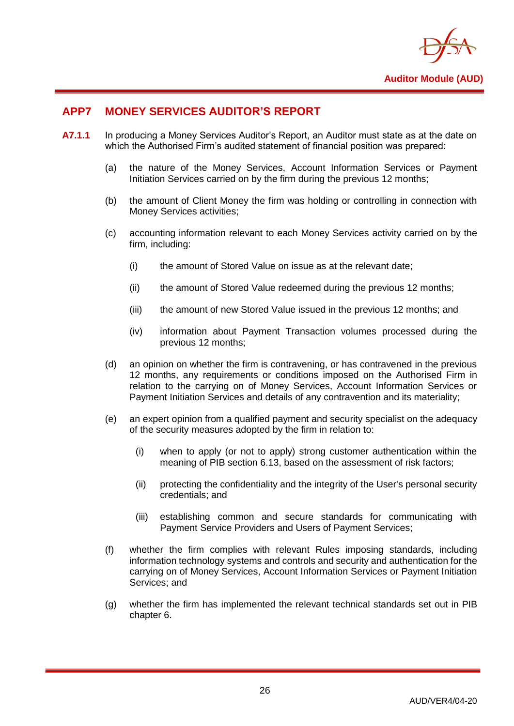

## <span id="page-28-0"></span>**APP7 MONEY SERVICES AUDITOR'S REPORT**

- **A7.1.1** In producing a Money Services Auditor's Report, an Auditor must state as at the date on which the Authorised Firm's audited statement of financial position was prepared:
	- (a) the nature of the Money Services, Account Information Services or Payment Initiation Services carried on by the firm during the previous 12 months;
	- (b) the amount of Client Money the firm was holding or controlling in connection with Money Services activities;
	- (c) accounting information relevant to each Money Services activity carried on by the firm, including:
		- (i) the amount of Stored Value on issue as at the relevant date;
		- (ii) the amount of Stored Value redeemed during the previous 12 months;
		- (iii) the amount of new Stored Value issued in the previous 12 months; and
		- (iv) information about Payment Transaction volumes processed during the previous 12 months;
	- (d) an opinion on whether the firm is contravening, or has contravened in the previous 12 months, any requirements or conditions imposed on the Authorised Firm in relation to the carrying on of Money Services, Account Information Services or Payment Initiation Services and details of any contravention and its materiality;
	- (e) an expert opinion from a qualified payment and security specialist on the adequacy of the security measures adopted by the firm in relation to:
		- (i) when to apply (or not to apply) strong customer authentication within the meaning of PIB section 6.13, based on the assessment of risk factors;
		- (ii) protecting the confidentiality and the integrity of the User's personal security credentials; and
		- (iii) establishing common and secure standards for communicating with Payment Service Providers and Users of Payment Services;
	- (f) whether the firm complies with relevant Rules imposing standards, including information technology systems and controls and security and authentication for the carrying on of Money Services, Account Information Services or Payment Initiation Services: and
	- (g) whether the firm has implemented the relevant technical standards set out in PIB chapter 6.